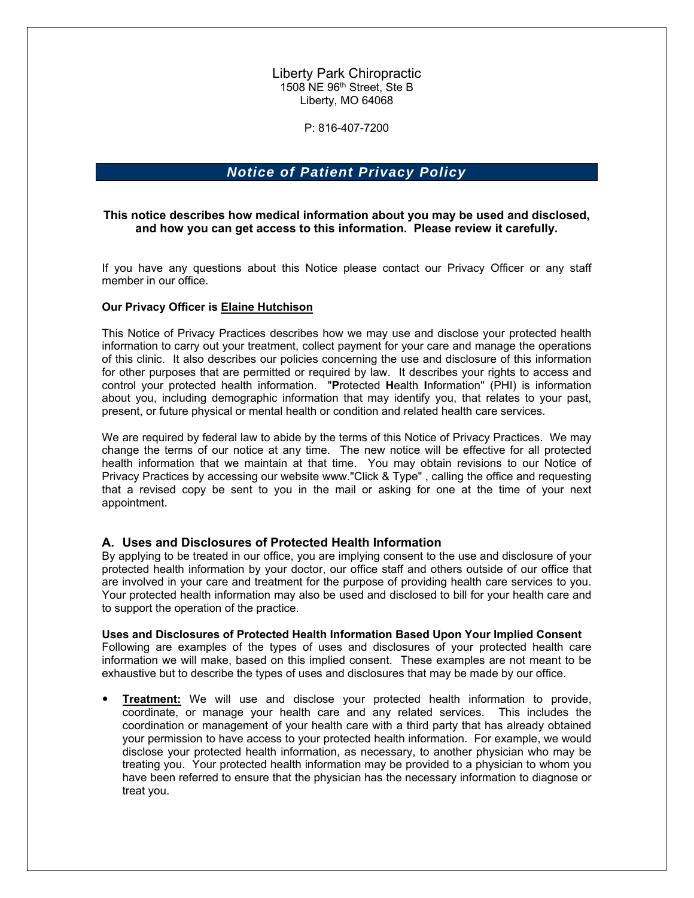Liberty Park Chiropractic 1508 NE 96<sup>th</sup> Street, Ste B Liberty, MO 64068

P: 816-407-7200

# *Notice of Patient Privacy Policy*

# **This notice describes how medical information about you may be used and disclosed, and how you can get access to this information. Please review it carefully.**

If you have any questions about this Notice please contact our Privacy Officer or any staff member in our office.

#### **Our Privacy Officer is Elaine Hutchison**

This Notice of Privacy Practices describes how we may use and disclose your protected health information to carry out your treatment, collect payment for your care and manage the operations of this clinic. It also describes our policies concerning the use and disclosure of this information for other purposes that are permitted or required by law. It describes your rights to access and control your protected health information. "**P**rotected **H**ealth **I**nformation" (PHI) is information about you, including demographic information that may identify you, that relates to your past, present, or future physical or mental health or condition and related health care services.

We are required by federal law to abide by the terms of this Notice of Privacy Practices. We may change the terms of our notice at any time. The new notice will be effective for all protected health information that we maintain at that time. You may obtain revisions to our Notice of Privacy Practices by accessing our website www."Click & Type" , calling the office and requesting that a revised copy be sent to you in the mail or asking for one at the time of your next appointment.

#### **A. Uses and Disclosures of Protected Health Information**

By applying to be treated in our office, you are implying consent to the use and disclosure of your protected health information by your doctor, our office staff and others outside of our office that are involved in your care and treatment for the purpose of providing health care services to you. Your protected health information may also be used and disclosed to bill for your health care and to support the operation of the practice.

# **Uses and Disclosures of Protected Health Information Based Upon Your Implied Consent**

Following are examples of the types of uses and disclosures of your protected health care information we will make, based on this implied consent. These examples are not meant to be exhaustive but to describe the types of uses and disclosures that may be made by our office.

 **Treatment:** We will use and disclose your protected health information to provide, coordinate, or manage your health care and any related services. This includes the coordination or management of your health care with a third party that has already obtained your permission to have access to your protected health information. For example, we would disclose your protected health information, as necessary, to another physician who may be treating you. Your protected health information may be provided to a physician to whom you have been referred to ensure that the physician has the necessary information to diagnose or treat you.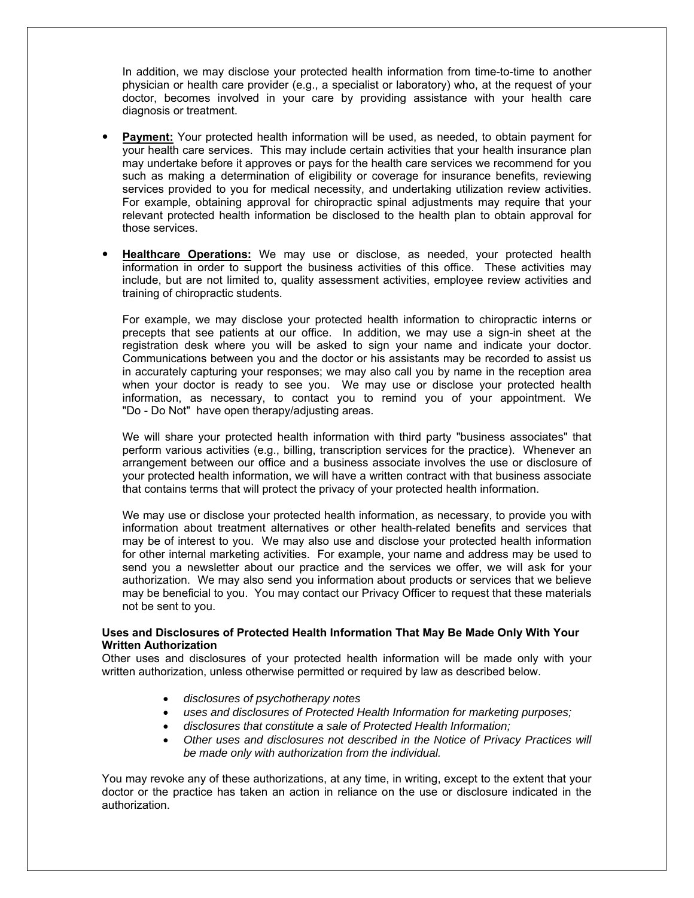In addition, we may disclose your protected health information from time-to-time to another physician or health care provider (e.g., a specialist or laboratory) who, at the request of your doctor, becomes involved in your care by providing assistance with your health care diagnosis or treatment.

- **Payment:** Your protected health information will be used, as needed, to obtain payment for your health care services. This may include certain activities that your health insurance plan may undertake before it approves or pays for the health care services we recommend for you such as making a determination of eligibility or coverage for insurance benefits, reviewing services provided to you for medical necessity, and undertaking utilization review activities. For example, obtaining approval for chiropractic spinal adjustments may require that your relevant protected health information be disclosed to the health plan to obtain approval for those services.
- **Healthcare Operations:** We may use or disclose, as needed, your protected health information in order to support the business activities of this office. These activities may include, but are not limited to, quality assessment activities, employee review activities and training of chiropractic students.

For example, we may disclose your protected health information to chiropractic interns or precepts that see patients at our office. In addition, we may use a sign-in sheet at the registration desk where you will be asked to sign your name and indicate your doctor. Communications between you and the doctor or his assistants may be recorded to assist us in accurately capturing your responses; we may also call you by name in the reception area when your doctor is ready to see you. We may use or disclose your protected health information, as necessary, to contact you to remind you of your appointment. We "Do - Do Not" have open therapy/adjusting areas.

We will share your protected health information with third party "business associates" that perform various activities (e.g., billing, transcription services for the practice). Whenever an arrangement between our office and a business associate involves the use or disclosure of your protected health information, we will have a written contract with that business associate that contains terms that will protect the privacy of your protected health information.

We may use or disclose your protected health information, as necessary, to provide you with information about treatment alternatives or other health-related benefits and services that may be of interest to you. We may also use and disclose your protected health information for other internal marketing activities. For example, your name and address may be used to send you a newsletter about our practice and the services we offer, we will ask for your authorization. We may also send you information about products or services that we believe may be beneficial to you. You may contact our Privacy Officer to request that these materials not be sent to you.

# **Uses and Disclosures of Protected Health Information That May Be Made Only With Your Written Authorization**

Other uses and disclosures of your protected health information will be made only with your written authorization, unless otherwise permitted or required by law as described below.

- *disclosures of psychotherapy notes*
- *uses and disclosures of Protected Health Information for marketing purposes;*
- *disclosures that constitute a sale of Protected Health Information;*
- *Other uses and disclosures not described in the Notice of Privacy Practices will be made only with authorization from the individual.*

You may revoke any of these authorizations, at any time, in writing, except to the extent that your doctor or the practice has taken an action in reliance on the use or disclosure indicated in the authorization.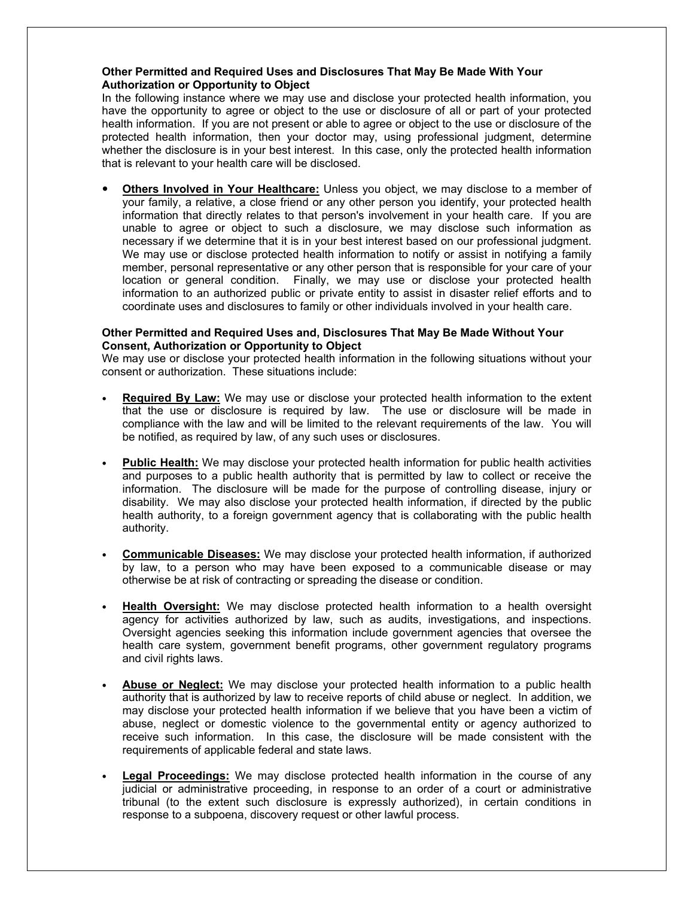#### **Other Permitted and Required Uses and Disclosures That May Be Made With Your Authorization or Opportunity to Object**

In the following instance where we may use and disclose your protected health information, you have the opportunity to agree or object to the use or disclosure of all or part of your protected health information. If you are not present or able to agree or object to the use or disclosure of the protected health information, then your doctor may, using professional judgment, determine whether the disclosure is in your best interest. In this case, only the protected health information that is relevant to your health care will be disclosed.

 **Others Involved in Your Healthcare:** Unless you object, we may disclose to a member of your family, a relative, a close friend or any other person you identify, your protected health information that directly relates to that person's involvement in your health care. If you are unable to agree or object to such a disclosure, we may disclose such information as necessary if we determine that it is in your best interest based on our professional judgment. We may use or disclose protected health information to notify or assist in notifying a family member, personal representative or any other person that is responsible for your care of your location or general condition. Finally, we may use or disclose your protected health information to an authorized public or private entity to assist in disaster relief efforts and to coordinate uses and disclosures to family or other individuals involved in your health care.

#### **Other Permitted and Required Uses and, Disclosures That May Be Made Without Your Consent, Authorization or Opportunity to Object**

We may use or disclose your protected health information in the following situations without your consent or authorization. These situations include:

- **Required By Law:** We may use or disclose your protected health information to the extent that the use or disclosure is required by law. The use or disclosure will be made in compliance with the law and will be limited to the relevant requirements of the law. You will be notified, as required by law, of any such uses or disclosures.
- **Public Health:** We may disclose your protected health information for public health activities and purposes to a public health authority that is permitted by law to collect or receive the information. The disclosure will be made for the purpose of controlling disease, injury or disability. We may also disclose your protected health information, if directed by the public health authority, to a foreign government agency that is collaborating with the public health authority.
- **Communicable Diseases:** We may disclose your protected health information, if authorized by law, to a person who may have been exposed to a communicable disease or may otherwise be at risk of contracting or spreading the disease or condition.
- **Health Oversight:** We may disclose protected health information to a health oversight agency for activities authorized by law, such as audits, investigations, and inspections. Oversight agencies seeking this information include government agencies that oversee the health care system, government benefit programs, other government regulatory programs and civil rights laws.
- **Abuse or Neglect:** We may disclose your protected health information to a public health authority that is authorized by law to receive reports of child abuse or neglect. In addition, we may disclose your protected health information if we believe that you have been a victim of abuse, neglect or domestic violence to the governmental entity or agency authorized to receive such information. In this case, the disclosure will be made consistent with the requirements of applicable federal and state laws.
- **Legal Proceedings:** We may disclose protected health information in the course of any judicial or administrative proceeding, in response to an order of a court or administrative tribunal (to the extent such disclosure is expressly authorized), in certain conditions in response to a subpoena, discovery request or other lawful process.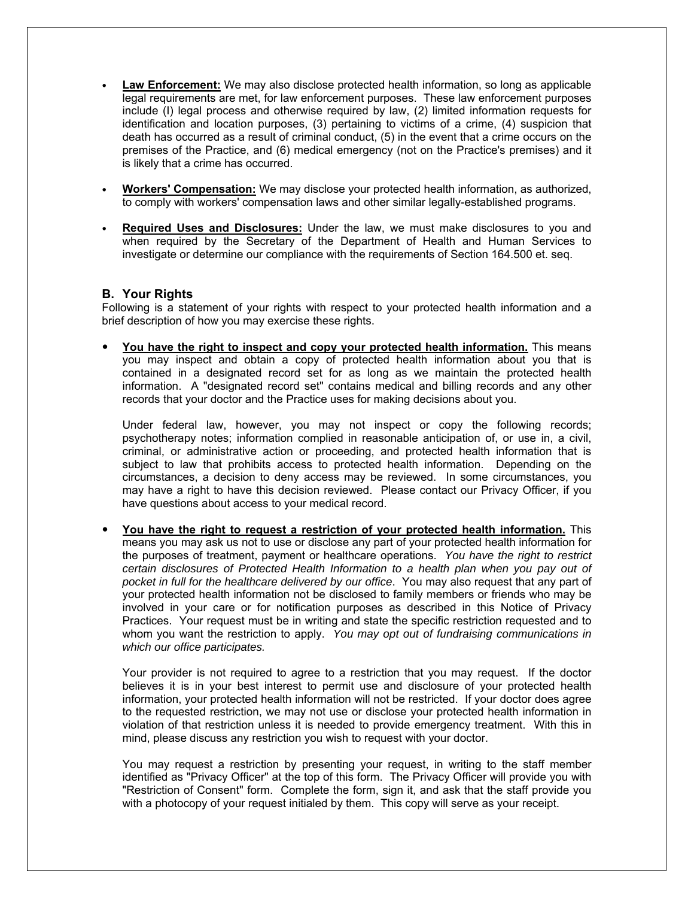- **Law Enforcement:** We may also disclose protected health information, so long as applicable legal requirements are met, for law enforcement purposes. These law enforcement purposes include (I) legal process and otherwise required by law, (2) limited information requests for identification and location purposes, (3) pertaining to victims of a crime, (4) suspicion that death has occurred as a result of criminal conduct, (5) in the event that a crime occurs on the premises of the Practice, and (6) medical emergency (not on the Practice's premises) and it is likely that a crime has occurred.
- **Workers' Compensation:** We may disclose your protected health information, as authorized, to comply with workers' compensation laws and other similar legally-established programs.
- **Required Uses and Disclosures:** Under the law, we must make disclosures to you and when required by the Secretary of the Department of Health and Human Services to investigate or determine our compliance with the requirements of Section 164.500 et. seq.

# **B. Your Rights**

Following is a statement of your rights with respect to your protected health information and a brief description of how you may exercise these rights.

 **You have the right to inspect and copy your protected health information.** This means you may inspect and obtain a copy of protected health information about you that is contained in a designated record set for as long as we maintain the protected health information. A "designated record set" contains medical and billing records and any other records that your doctor and the Practice uses for making decisions about you.

Under federal law, however, you may not inspect or copy the following records; psychotherapy notes; information complied in reasonable anticipation of, or use in, a civil, criminal, or administrative action or proceeding, and protected health information that is subject to law that prohibits access to protected health information. Depending on the circumstances, a decision to deny access may be reviewed. In some circumstances, you may have a right to have this decision reviewed. Please contact our Privacy Officer, if you have questions about access to your medical record.

 **You have the right to request a restriction of your protected health information.** This means you may ask us not to use or disclose any part of your protected health information for the purposes of treatment, payment or healthcare operations. *You have the right to restrict certain disclosures of Protected Health Information to a health plan when you pay out of pocket in full for the healthcare delivered by our office*. You may also request that any part of your protected health information not be disclosed to family members or friends who may be involved in your care or for notification purposes as described in this Notice of Privacy Practices. Your request must be in writing and state the specific restriction requested and to whom you want the restriction to apply. *You may opt out of fundraising communications in which our office participates.*

Your provider is not required to agree to a restriction that you may request. If the doctor believes it is in your best interest to permit use and disclosure of your protected health information, your protected health information will not be restricted. If your doctor does agree to the requested restriction, we may not use or disclose your protected health information in violation of that restriction unless it is needed to provide emergency treatment. With this in mind, please discuss any restriction you wish to request with your doctor.

You may request a restriction by presenting your request, in writing to the staff member identified as "Privacy Officer" at the top of this form. The Privacy Officer will provide you with "Restriction of Consent" form. Complete the form, sign it, and ask that the staff provide you with a photocopy of your request initialed by them. This copy will serve as your receipt.